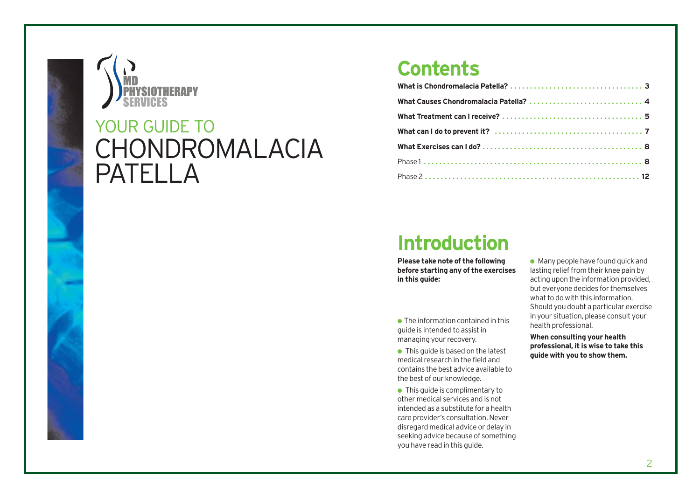

# CHONDROMALACIA PATELLA YOUR GUIDE TO

### **Contents**

| What Causes Chondromalacia Patella?  4 |  |
|----------------------------------------|--|
|                                        |  |
|                                        |  |
|                                        |  |
|                                        |  |
|                                        |  |

## **Introduction**

**Please take note of the following before starting any of the exercises in this guide:**

- $\bullet$  The information contained in this guide is intended to assist in managing your recovery.
- $\bullet$  This guide is based on the latest medical research in the field and contains the best advice available to the best of our knowledge.
- This quide is complimentary to other medical services and is not intended as a substitute for a health care provider's consultation. Never disregard medical advice or delay in seeking advice because of something you have read in this guide.

 $\bullet$  Many people have found quick and lasting relief from their knee pain by acting upon the information provided, but everyone decides for themselves what to do with this information. Should you doubt a particular exercise in your situation, please consult your health professional.

**When consulting your health professional, it is wise to take this guide with you to show them.**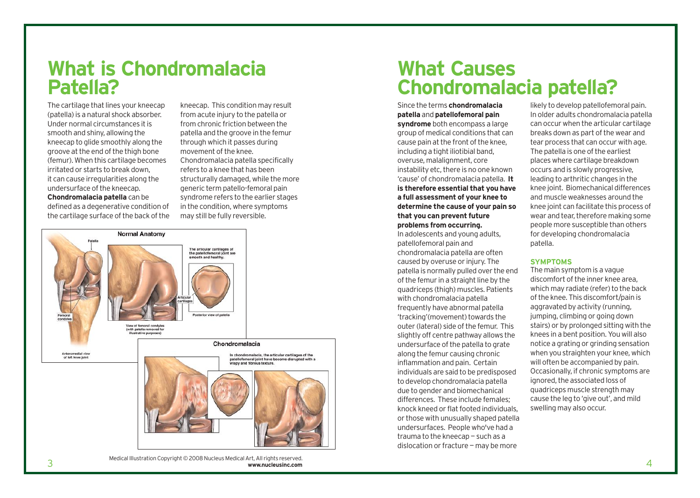### **What is Chondromalacia Patella?**

The cartilage that lines your kneecap (patella) is a natural shock absorber. Under normal circumstances it is smooth and shiny, allowing the kneecap to glide smoothly along the groove at the end of the thigh bone (femur). When this cartilage becomes irritated or starts to break down, it can cause irregularities along the undersurface of the kneecap. **Chondromalacia patella** can be

defined as a degenerative condition of the cartilage surface of the back of the kneecap. This condition may result from acute injury to the patella or from chronic friction between the patella and the groove in the femur through which it passes during movement of the knee. Chondromalacia patella specifically refers to a knee that has been structurally damaged, while the more generic term patello-femoral pain syndrome refers to the earlier stages in the condition, where symptoms may still be fully reversible.



 $\frac{3}{3}$ Medical Illustration Copyright © 2008 Nucleus Medical Art, All rights reserved. **www.nucleusinc.com**

### **What Causes Chondromalacia patella?**

Since the terms **chondromalacia patella** and **patellofemoral pain syndrome** both encompass a large group of medical conditions that can cause pain at the front of the knee, including a tight iliotibial band, overuse, malalignment, core instability etc, there is no one known 'cause' of chondromalacia patella. **It is therefore essential that you have a full assessment of your knee to determine the cause of your pain so that you can prevent future problems from occurring.**

In adolescents and young adults, patellofemoral pain and chondromalacia patella are often caused by overuse or injury. The patella is normally pulled over the end of the femur in a straight line by the quadriceps (thigh) muscles. Patients with chondromalacia patella frequently have abnormal patella 'tracking'(movement) towards the outer (lateral) side of the femur. This slightly off centre pathway allows the undersurface of the patella to grate along the femur causing chronic inflammation and pain. Certain individuals are said to be predisposed to develop chondromalacia patella due to gender and biomechanical differences. These include females; knock kneed or flat footed individuals, or those with unusually shaped patella undersurfaces. People who've had a trauma to the kneecap — such as a dislocation or fracture — may be more

likely to develop patellofemoral pain. In older adults chondromalacia patella can occur when the articular cartilage breaks down as part of the wear and tear process that can occur with age. The patella is one of the earliest places where cartilage breakdown occurs and is slowly progressive, leading to arthritic changes in the knee joint. Biomechanical differences and muscle weaknesses around the knee joint can facilitate this process of wear and tear, therefore making some people more susceptible than others for developing chondromalacia patella.

#### **SYMPTOMS**

The main symptom is a vague discomfort of the inner knee area, which may radiate (refer) to the back of the knee. This discomfort/pain is aggravated by activity (running, jumping, climbing or going down stairs) or by prolonged sitting with the knees in a bent position. You will also notice a grating or grinding sensation when you straighten your knee, which will often be accompanied by pain. Occasionally, if chronic symptoms are ignored, the associated loss of quadriceps muscle strength may cause the leg to 'give out', and mild swelling may also occur.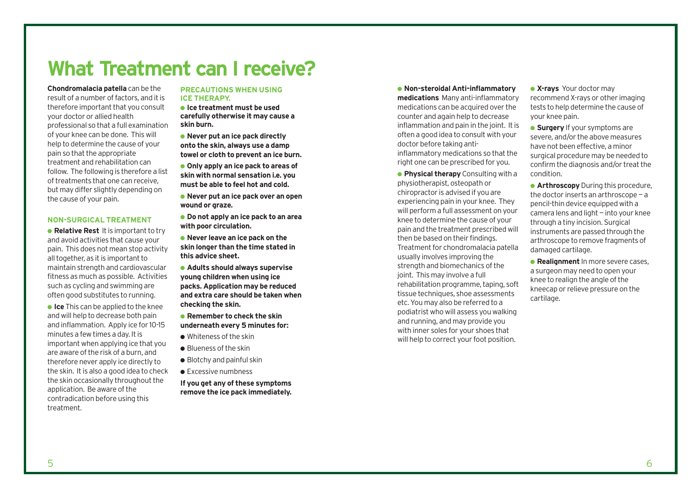## **What Treatment can I receive?**

**Chondromalacia patella** can be the result of a number of factors, and it is therefore important that you consult your doctor or allied health professional so that a full examination of your knee can be done. This will help to determine the cause of your pain so that the appropriate treatment and rehabilitation can follow. The following is therefore a list of treatments that one can receive, but may differ slightly depending on the cause of your pain.

#### **NON-SURGICAL TREATMENT**

● **Relative Rest** It is important to try and avoid activities that cause your pain. This does not mean stop activity all together, as it is important to maintain strength and cardiovascular fitness as much as possible. Activities such as cycling and swimming are often good substitutes to running.

**• Ice** This can be applied to the knee and will help to decrease both pain and inflammation. Apply ice for 10-15 minutes a few times a day. It is important when applying ice that you are aware of the risk of a burn, and therefore never apply ice directly to the skin. It is also a good idea to check the skin occasionally throughout the application. Be aware of the contradication before using this treatment.

#### **PRECAUTIONS WHEN USING ICE THERAPY.**

● **Ice treatment must be used carefully otherwise it may cause a skin burn.**

● **Never put an ice pack directly onto the skin, always use a damp towel or cloth to prevent an ice burn.**

● **Only apply an ice pack to areas of skin with normal sensation i.e. you must be able to feel hot and cold.**

- **Never put an ice pack over an open wound or graze.**
- **Do not apply an ice pack to an area with poor circulation.**
- **Never leave an ice pack on the skin longer than the time stated in this advice sheet.**
- **Adults should always supervise young children when using ice packs. Application may be reduced and extra care should be taken when checking the skin.**

● **Remember to check the skin underneath every 5 minutes for:**

- Whiteness of the skin
- Blueness of the skin
- $\bullet$  Blotchy and painful skin
- Excessive numbness

**If you get any of these symptoms remove the ice pack immediately.** ● **Non-steroidal Anti-inflammatory medications** Many anti-inflammatory medications can be acquired over the counter and again help to decrease inflammation and pain in the joint. It is often a good idea to consult with your doctor before taking antiinflammatory medications so that the

right one can be prescribed for you.

● **Physical therapy** Consulting with a physiotherapist, osteopath or chiropractor is advised if you are experiencing pain in your knee. They will perform a full assessment on your knee to determine the cause of your pain and the treatment prescribed will then be based on their findings. Treatment for chondromalacia patella usually involves improving the strength and biomechanics of the joint. This may involve a full rehabilitation programme, taping, soft tissue techniques, shoe assessments etc. You may also be referred to a podiatrist who will assess you walking and running, and may provide you with inner soles for your shoes that will help to correct your foot position.

● **X-rays** Your doctor may recommend X-rays or other imaging tests to help determine the cause of your knee pain.

● **Surgery** If your symptoms are severe, and/or the above measures have not been effective, a minor surgical procedure may be needed to confirm the diagnosis and/or treat the condition.

**• Arthroscopy** During this procedure, the doctor inserts an arthroscope — a pencil-thin device equipped with a camera lens and light — into your knee through a tiny incision. Surgical instruments are passed through the arthroscope to remove fragments of damaged cartilage.

● **Realignment** In more severe cases, a surgeon may need to open your knee to realign the angle of the kneecap or relieve pressure on the cartilage.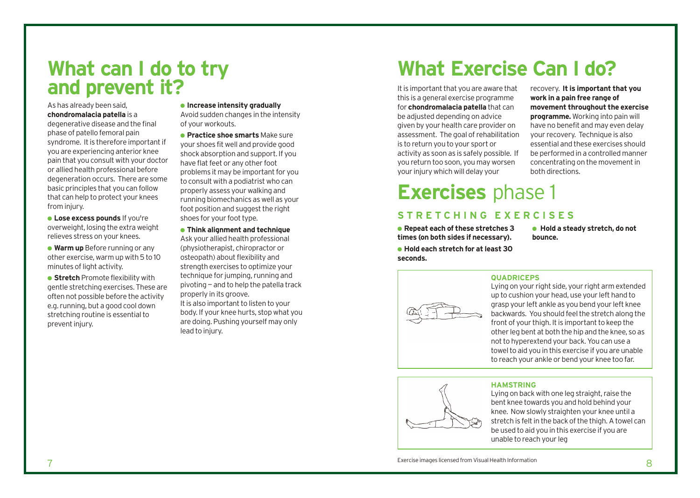### **What can I do to try**  and prevent it? **It is important that you are aware that**

As has already been said, **chondromalacia patella** is a degenerative disease and the final phase of patello femoral pain syndrome. It is therefore important if you are experiencing anterior knee pain that you consult with your doctor or allied health professional before degeneration occurs. There are some basic principles that you can follow that can help to protect your knees from injury.

● **Lose excess pounds** If you're overweight, losing the extra weight relieves stress on your knees.

● **Warm up** Before running or any other exercise, warm up with 5 to 10 minutes of light activity.

**• Stretch** Promote flexibility with gentle stretching exercises. These are often not possible before the activity e.g. running, but a good cool down stretching routine is essential to prevent injury.

● **Increase intensity gradually**

Avoid sudden changes in the intensity of your workouts.

● **Practice shoe smarts** Make sure your shoes fit well and provide good shock absorption and support. If you have flat feet or any other foot problems it may be important for you to consult with a podiatrist who can properly assess your walking and running biomechanics as well as your foot position and suggest the right shoes for your foot type.

● **Think alignment and technique** Ask your allied health professional (physiotherapist, chiropractor or osteopath) about flexibility and strength exercises to optimize your technique for jumping, running and pivoting — and to help the patella track properly in its groove. It is also important to listen to your body. If your knee hurts, stop what you are doing. Pushing yourself may only lead to injury.

# **What Exercise Can I do?**

this is a general exercise programme for **chondromalacia patella** that can be adjusted depending on advice given by your health care provider on assessment. The goal of rehabilitation is to return you to your sport or activity as soon as is safely possible. If you return too soon, you may worsen your injury which will delay your

recovery. **It is important that you work in a pain free range of movement throughout the exercise programme.** Working into pain will have no benefit and may even delay your recovery. Technique is also essential and these exercises should be performed in a controlled manner concentrating on the movement in both directions.

# **Exercises** phase 1

### **STRETCHING EXERCISES**

● **Repeat each of these stretches 3 times (on both sides if necessary).** ● **Hold each stretch for at least 30 seconds.**

● **Hold a steady stretch, do not bounce.**



#### **QUADRICEPS**

Lying on your right side, your right arm extended up to cushion your head, use your left hand to grasp your left ankle as you bend your left knee backwards. You should feel the stretch along the front of your thigh. It is important to keep the other leg bent at both the hip and the knee, so as not to hyperextend your back. You can use a towel to aid you in this exercise if you are unable to reach your ankle or bend your knee too far.

### **HAMSTRING**



Lying on back with one leg straight, raise the bent knee towards you and hold behind your knee. Now slowly straighten your knee until a stretch is felt in the back of the thigh. A towel can be used to aid you in this exercise if you are unable to reach your leg

Exercise images licensed from Visual Health Information Music Service in the Service images licensed from Visual Health Information Service images licensed from Visual Health Information Service in the Service in the Servi Exercise images licensed from Visual Health Information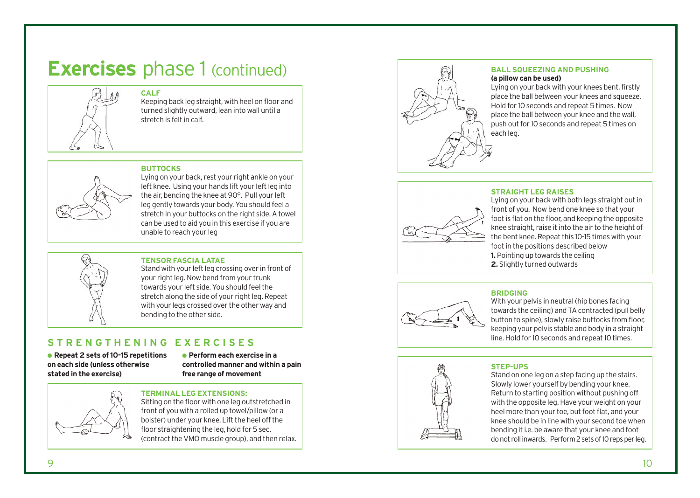# **Exercises** phase 1 (continued)



### **CALF**

Keeping back leg straight, with heel on floor and turned slightly outward, lean into wall until a stretch is felt in calf.

#### **BUTTOCKS**



Lying on your back, rest your right ankle on your left knee. Using your hands lift your left leg into the air, bending the knee at 90°. Pull your left leg gently towards your body. You should feel a stretch in your buttocks on the right side. A towel can be used to aid you in this exercise if you are unable to reach your leg



#### **TENSOR FASCIA LATAE**

Stand with your left leg crossing over in front of your right leg. Now bend from your trunk towards your left side. You should feel the stretch along the side of your right leg. Repeat with your legs crossed over the other way and bending to the other side.

### **STRENGTHENING EXERCISES**

● **Repeat 2 sets of 10-15 repetitions on each side (unless otherwise stated in the exercise)**

● **Perform each exercise in a controlled manner and within a pain free range of movement**



#### **TERMINAL LEG EXTENSIONS:**

Sitting on the floor with one leg outstretched in front of you with a rolled up towel/pillow (or a bolster) under your knee. Lift the heel off the floor straightening the leg, hold for 5 sec. (contract the VMO muscle group), and then relax.



#### **BALL SQUEEZING AND PUSHING (a pillow can be used)**

Lying on your back with your knees bent, firstly place the ball between your knees and squeeze. Hold for 10 seconds and repeat 5 times. Now place the ball between your knee and the wall, push out for 10 seconds and repeat 5 times on each leg.

#### **STRAIGHT LEG RAISES**



Lying on your back with both legs straight out in front of you. Now bend one knee so that your foot is flat on the floor, and keeping the opposite knee straight, raise it into the air to the height of the bent knee. Repeat this 10-15 times with your foot in the positions described below **1.** Pointing up towards the ceiling **2.** Slightly turned outwards



#### **BRIDGING**

With your pelvis in neutral (hip bones facing towards the ceiling) and TA contracted (pull belly button to spine), slowly raise buttocks from floor, keeping your pelvis stable and body in a straight line. Hold for 10 seconds and repeat 10 times.



#### **STEP-UPS**

Stand on one leg on a step facing up the stairs. Slowly lower yourself by bending your knee. Return to starting position without pushing off with the opposite leg. Have your weight on your heel more than your toe, but foot flat, and your knee should be in line with your second toe when bending it i.e. be aware that your knee and foot do not roll in wards. Perform 2 sets of 10 reps per leg.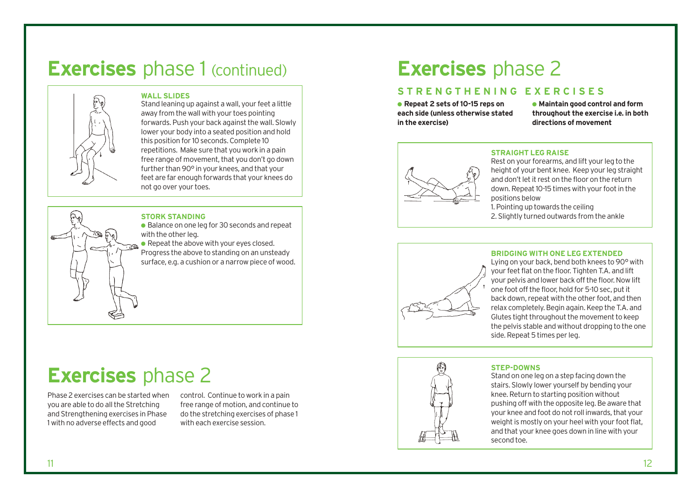## **Exercises** phase 1 (continued)



#### **WALL SLIDES**

Stand leaning up against a wall, your feet a little away from the wall with your toes pointing forwards. Push your back against the wall. Slowly lower your body into a seated position and hold this position for 10 seconds. Complete 10 repetitions. Make sure that you work in a pain free range of movement, that you don't go down further than 90° in your knees, and that your feet are far enough forwards that your knees do not go over your toes.

#### **STORK STANDING**

- Balance on one leg for 30 seconds and repeat with the other leg.
- Repeat the above with your eyes closed. Progress the above to standing on an unsteady surface, e.g. a cushion or a narrow piece of wood.

# **Exercises** phase 2

Phase 2 exercises can be started when you are able to do all the Stretching and Strengthening exercises in Phase 1 with no adverse effects and good

control. Continue to work in a pain free range of motion, and continue to do the stretching exercises of phase 1 with each exercise session.

# **Exercises** phase 2

### **STRENGTHENING EXERCISES**

● **Repeat 2 sets of 10-15 reps on each side (unless otherwise stated in the exercise)**

● **Maintain good control and form throughout the exercise i.e. in both directions of movement**



#### **STRAIGHT LEG RAISE**

Rest on your forearms, and lift your leg to the height of your bent knee. Keep your leg straight and don't let it rest on the floor on the return down. Repeat 10-15 times with your foot in the positions below

1. Pointing up towards the ceiling

2. Slightly turned outwards from the ankle



#### **BRIDGING WITH ONE LEG EXTENDED**

Lying on your back, bend both knees to 90° with your feet flat on the floor. Tighten T.A. and lift your pelvis and lower back off the floor. Now lift one foot off the floor, hold for 5-10 sec, put it back down, repeat with the other foot, and then relax completely. Begin again. Keep the T.A. and Glutes tight throughout the movement to keep the pelvis stable and without dropping to the one side. Repeat 5 times per leg.



#### **STEP-DOWNS**

Stand on one leg on a step facing down the stairs. Slowly lower yourself by bending your knee. Return to starting position without pushing off with the opposite leg. Be aware that your knee and foot do not roll inwards, that your weight is mostly on your heel with your foot flat, and that your knee goes down in line with your second toe.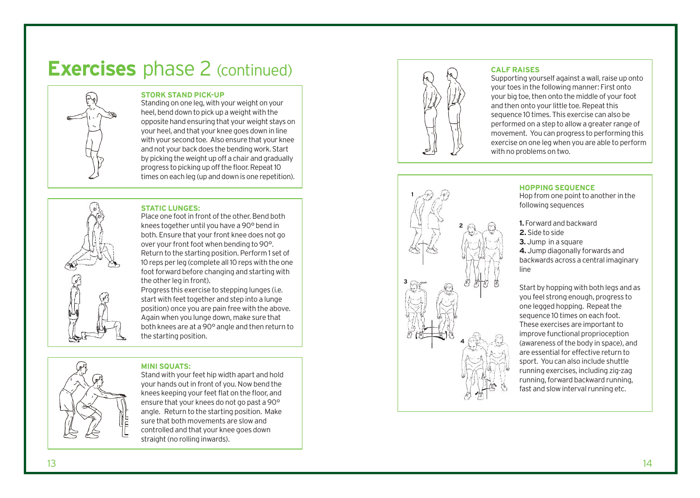# **Exercises** phase 2 (continued)



#### **STORK STAND PICK-UP**

Standing on one leg, with your weight on your heel, bend down to pick up a weight with the opposite hand ensuring that your weight stays on your heel, and that your knee goes down in line with your second toe. Also ensure that your knee and not your back does the bending work. Start by picking the weight up off a chair and gradually progress to picking up off the floor. Repeat 10 times on each leg (up and down is one repetition).

#### **STATIC LUNGES:**

Place one foot in front of the other. Bend both knees together until you have a 90° bend in both. Ensure that your front knee does not go over your front foot when bending to 90°. Return to the starting position. Perform 1 set of 10 reps per leg (complete all 10 reps with the one foot forward before changing and starting with the other leg in front).

Progress this exercise to stepping lunges (i.e. start with feet together and step into a lunge position) once you are pain free with the above. Again when you lunge down, make sure that both knees are at a 90° angle and then return to the s tarting position.

#### **MINI SQU ATS:**

S tand with your feet hip width apart and hold your hands out in front of you. Now bend the knees keeping your feet flat on the floor, and ensure that your knees do not go past a 90° angle. Return to the starting position. Make sure that both movements are slow and controlled and that your knee goes down straight (no rolling inwards).



#### **CALF RAISES**

Supporting yourself against a wall, raise up onto your toes in the following manner: First onto your big toe, then onto the middle of your foot and then onto your little toe. Repeat this sequence 10 times. This exercise can also be performed on a step to allow a greater range of movement. You can progress to performing this exercise on one leg when you are able to perform with no problems on two.



**HOPPING SEQUENCE** Hop from one point to another in the following sequences

**1.** Forward and backward **2.** Side to side **3.** Jump in a square **4.** Jump diagonally forwards and backwards across a central imaginary line

Start by hopping with both legs and as you feel strong enough, progress to one legged hopping. Repeat the sequence 10 times on each foot. These exercises are important to improve functional proprioception (awareness of the body in space), and are essential for effective return to sport. You can also include shuttle running e xercises, including zig-zag running, forward backward running, fast and slow interval running etc.